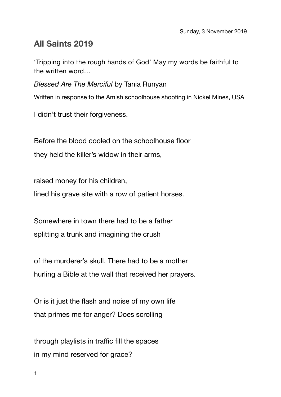## **All Saints 2019**

'Tripping into the rough hands of God' May my words be faithful to the written word…

*Blessed Are The Merciful* by Tania Runyan

Written in response to the Amish schoolhouse shooting in Nickel Mines, USA

I didn't trust their forgiveness.

Before the blood cooled on the schoolhouse floor

they held the killer's widow in their arms,

raised money for his children,

lined his grave site with a row of patient horses.

Somewhere in town there had to be a father splitting a trunk and imagining the crush

of the murderer's skull. There had to be a mother hurling a Bible at the wall that received her prayers.

Or is it just the flash and noise of my own life that primes me for anger? Does scrolling

through playlists in traffic fill the spaces in my mind reserved for grace?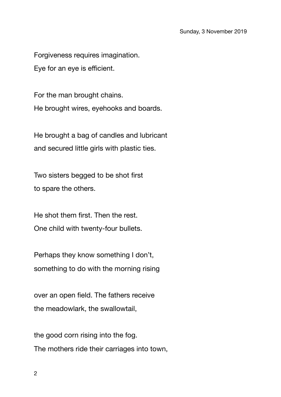Forgiveness requires imagination. Eye for an eye is efficient.

For the man brought chains. He brought wires, eyehooks and boards.

He brought a bag of candles and lubricant and secured little girls with plastic ties.

Two sisters begged to be shot first to spare the others.

He shot them first. Then the rest. One child with twenty-four bullets.

Perhaps they know something I don't, something to do with the morning rising

over an open field. The fathers receive the meadowlark, the swallowtail,

the good corn rising into the fog. The mothers ride their carriages into town,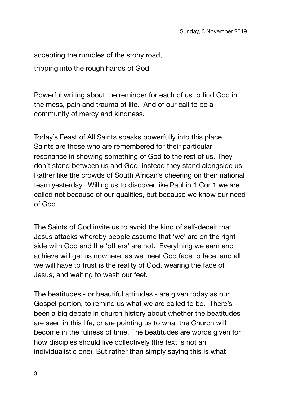accepting the rumbles of the stony road,

tripping into the rough hands of God.

Powerful writing about the reminder for each of us to find God in the mess, pain and trauma of life. And of our call to be a community of mercy and kindness.

Today's Feast of All Saints speaks powerfully into this place. Saints are those who are remembered for their particular resonance in showing something of God to the rest of us. They don't stand between us and God, instead they stand alongside us. Rather like the crowds of South African's cheering on their national team yesterday. Willing us to discover like Paul in 1 Cor 1 we are called not because of our qualities, but because we know our need of God.

The Saints of God invite us to avoid the kind of self-deceit that Jesus attacks whereby people assume that 'we' are on the right side with God and the 'others' are not. Everything we earn and achieve will get us nowhere, as we meet God face to face, and all we will have to trust is the reality of God, wearing the face of Jesus, and waiting to wash our feet.

The beatitudes - or beautiful attitudes - are given today as our Gospel portion, to remind us what we are called to be. There's been a big debate in church history about whether the beatitudes are seen in this life, or are pointing us to what the Church will become in the fulness of time. The beatitudes are words given for how disciples should live collectively (the text is not an individualistic one). But rather than simply saying this is what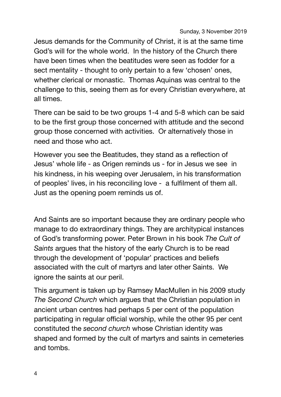Jesus demands for the Community of Christ, it is at the same time God's will for the whole world. In the history of the Church there have been times when the beatitudes were seen as fodder for a sect mentality - thought to only pertain to a few 'chosen' ones, whether clerical or monastic. Thomas Aquinas was central to the challenge to this, seeing them as for every Christian everywhere, at all times.

There can be said to be two groups 1-4 and 5-8 which can be said to be the first group those concerned with attitude and the second group those concerned with activities. Or alternatively those in need and those who act.

However you see the Beatitudes, they stand as a reflection of Jesus' whole life - as Origen reminds us - for in Jesus we see in his kindness, in his weeping over Jerusalem, in his transformation of peoples' lives, in his reconciling love - a fulfilment of them all. Just as the opening poem reminds us of.

And Saints are so important because they are ordinary people who manage to do extraordinary things. They are architypical instances of God's transforming power. Peter Brown in his book *The Cult of Saints* argues that the history of the early Church is to be read through the development of 'popular' practices and beliefs associated with the cult of martyrs and later other Saints. We ignore the saints at our peril.

This argument is taken up by Ramsey MacMullen in his 2009 study *The Second Church* which argues that the Christian population in ancient urban centres had perhaps 5 per cent of the population participating in regular official worship, while the other 95 per cent constituted the *second church* whose Christian identity was shaped and formed by the cult of martyrs and saints in cemeteries and tombs.